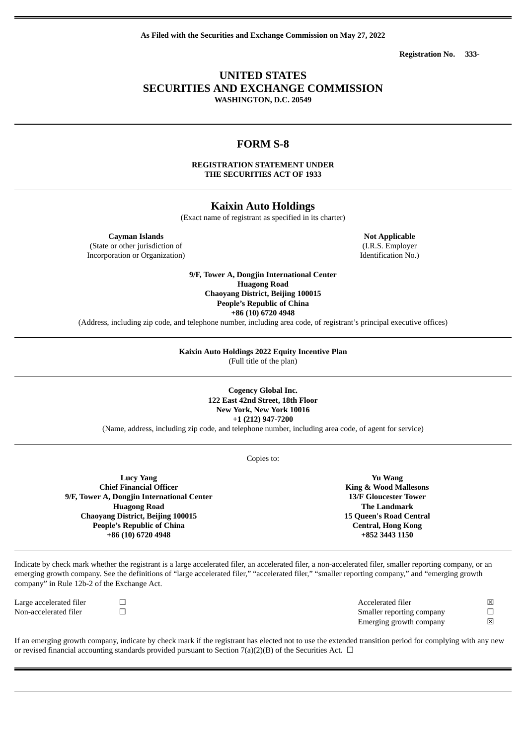**As Filed with the Securities and Exchange Commission on May 27, 2022**

**Registration No. 333-**

## **UNITED STATES SECURITIES AND EXCHANGE COMMISSION WASHINGTON, D.C. 20549**

## **FORM S-8**

**REGISTRATION STATEMENT UNDER THE SECURITIES ACT OF 1933**

## **Kaixin Auto Holdings**

(Exact name of registrant as specified in its charter)

**Cayman Islands Not Applicable**

(State or other jurisdiction of Incorporation or Organization)

> **9/F, Tower A, Dongjin International Center Huagong Road Chaoyang District, Beijing 100015 People's Republic of China**

**+86 (10) 6720 4948**

(Address, including zip code, and telephone number, including area code, of registrant's principal executive offices)

# **Kaixin Auto Holdings 2022 Equity Incentive Plan**

(Full title of the plan)

**Cogency Global Inc. 122 East 42nd Street, 18th Floor New York, New York 10016 +1 (212) 947-7200**

(Name, address, including zip code, and telephone number, including area code, of agent for service)

Copies to:

**Lucy Yang Chief Financial Officer 9/F, Tower A, Dongjin International Center Huagong Road Chaoyang District, Beijing 100015 People's Republic of China +86 (10) 6720 4948**

**Yu Wang King & Wood Mallesons 13/F Gloucester Tower The Landmark 15 Queen's Road Central Central, Hong Kong +852 3443 1150**

Indicate by check mark whether the registrant is a large accelerated filer, an accelerated filer, a non-accelerated filer, smaller reporting company, or an emerging growth company. See the definitions of "large accelerated filer," "accelerated filer," "smaller reporting company," and "emerging growth company" in Rule 12b-2 of the Exchange Act.

Large accelerated filer ☐ Accelerated filer ☒ Non-accelerated filer ☐ Smaller reporting company ☐ Emerging growth company  $\boxtimes$ 

If an emerging growth company, indicate by check mark if the registrant has elected not to use the extended transition period for complying with any new or revised financial accounting standards provided pursuant to Section 7(a)(2)(B) of the Securities Act.  $\Box$ 

(I.R.S. Employer Identification No.)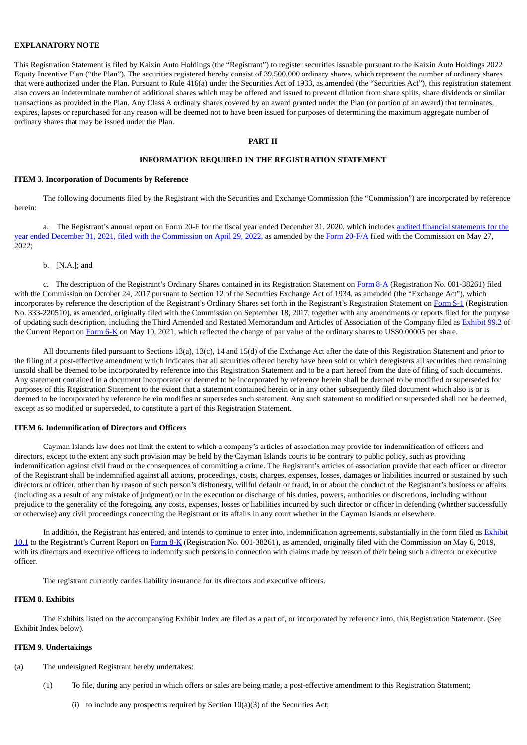## **EXPLANATORY NOTE**

This Registration Statement is filed by Kaixin Auto Holdings (the "Registrant") to register securities issuable pursuant to the Kaixin Auto Holdings 2022 Equity Incentive Plan ("the Plan"). The securities registered hereby consist of 39,500,000 ordinary shares, which represent the number of ordinary shares that were authorized under the Plan. Pursuant to Rule 416(a) under the Securities Act of 1933, as amended (the "Securities Act"), this registration statement also covers an indeterminate number of additional shares which may be offered and issued to prevent dilution from share splits, share dividends or similar transactions as provided in the Plan. Any Class A ordinary shares covered by an award granted under the Plan (or portion of an award) that terminates, expires, lapses or repurchased for any reason will be deemed not to have been issued for purposes of determining the maximum aggregate number of ordinary shares that may be issued under the Plan.

#### **PART II**

## **INFORMATION REQUIRED IN THE REGISTRATION STATEMENT**

#### **ITEM 3. Incorporation of Documents by Reference**

The following documents filed by the Registrant with the Securities and Exchange Commission (the "Commission") are incorporated by reference herein:

a. The Registrant's annual report on Form 20-F for the fiscal year ended December 31, 2020, which includes audited financial statements for the year ended December 31, 2021, filed with the [Commission](https://www.sec.gov/ix?doc=/Archives/edgar/data/1713539/000141057822001080/kxin-20211231x20f.htm) on April 29, 2022, as amended by the Form [20-F/A](http://www.sec.gov/Archives/edgar/data/1713539/000110465922065896/tm2217127d1_20fa.htm) filed with the Commission on May 27, 2022;

### b. [N.A.]; and

c. The description of the Registrant's Ordinary Shares contained in its Registration Statement on [Form](http://www.sec.gov/Archives/edgar/data/1713539/000161577417005867/s107841_8a12b.htm) 8-A (Registration No. 001-38261) filed with the Commission on October 24, 2017 pursuant to Section 12 of the Securities Exchange Act of 1934, as amended (the "Exchange Act"), which incorporates by reference the description of the Registrant's Ordinary Shares set forth in the Registrant's Registration Statement on [Form](http://www.sec.gov/Archives/edgar/data/1713539/000161577417005148/s107523_s1.htm) S-1 (Registration No. 333-220510), as amended, originally filed with the Commission on September 18, 2017, together with any amendments or reports filed for the purpose of updating such description, including the Third Amended and Restated Memorandum and Articles of Association of the Company filed as [Exhibit](http://www.sec.gov/Archives/edgar/data/1713539/000110465921063328/tm2115535d1_ex99-2.htm) 99.2 of the Current Report on [Form](http://www.sec.gov/Archives/edgar/data/1713539/000110465921063328/tm2115535d1_6k.htm) 6-K on May 10, 2021, which reflected the change of par value of the ordinary shares to US\$0.00005 per share.

All documents filed pursuant to Sections 13(a), 13(c), 14 and 15(d) of the Exchange Act after the date of this Registration Statement and prior to the filing of a post-effective amendment which indicates that all securities offered hereby have been sold or which deregisters all securities then remaining unsold shall be deemed to be incorporated by reference into this Registration Statement and to be a part hereof from the date of filing of such documents. Any statement contained in a document incorporated or deemed to be incorporated by reference herein shall be deemed to be modified or superseded for purposes of this Registration Statement to the extent that a statement contained herein or in any other subsequently filed document which also is or is deemed to be incorporated by reference herein modifies or supersedes such statement. Any such statement so modified or superseded shall not be deemed, except as so modified or superseded, to constitute a part of this Registration Statement.

#### **ITEM 6. Indemnification of Directors and Officers**

Cayman Islands law does not limit the extent to which a company's articles of association may provide for indemnification of officers and directors, except to the extent any such provision may be held by the Cayman Islands courts to be contrary to public policy, such as providing indemnification against civil fraud or the consequences of committing a crime. The Registrant's articles of association provide that each officer or director of the Registrant shall be indemnified against all actions, proceedings, costs, charges, expenses, losses, damages or liabilities incurred or sustained by such directors or officer, other than by reason of such person's dishonesty, willful default or fraud, in or about the conduct of the Registrant's business or affairs (including as a result of any mistake of judgment) or in the execution or discharge of his duties, powers, authorities or discretions, including without prejudice to the generality of the foregoing, any costs, expenses, losses or liabilities incurred by such director or officer in defending (whether successfully or otherwise) any civil proceedings concerning the Registrant or its affairs in any court whether in the Cayman Islands or elsewhere.

In addition, the Registrant has entered, and intends to continue to enter into, [indemnification](http://www.sec.gov/Archives/edgar/data/1713539/000161577419007120/s117988_ex10-1.htm) agreements, substantially in the form filed as Exhibit 10.1 to the Registrant's Current Report on [Form](http://www.sec.gov/Archives/edgar/data/1713539/000161577419007120/s117988_8k.htm) 8-K (Registration No. 001-38261), as amended, originally filed with the Commission on May 6, 2019, with its directors and executive officers to indemnify such persons in connection with claims made by reason of their being such a director or executive officer.

The registrant currently carries liability insurance for its directors and executive officers.

#### **ITEM 8. Exhibits**

The Exhibits listed on the accompanying Exhibit Index are filed as a part of, or incorporated by reference into, this Registration Statement. (See Exhibit Index below).

#### **ITEM 9. Undertakings**

- (a) The undersigned Registrant hereby undertakes:
	- (1) To file, during any period in which offers or sales are being made, a post-effective amendment to this Registration Statement;
		- (i) to include any prospectus required by Section 10(a)(3) of the Securities Act;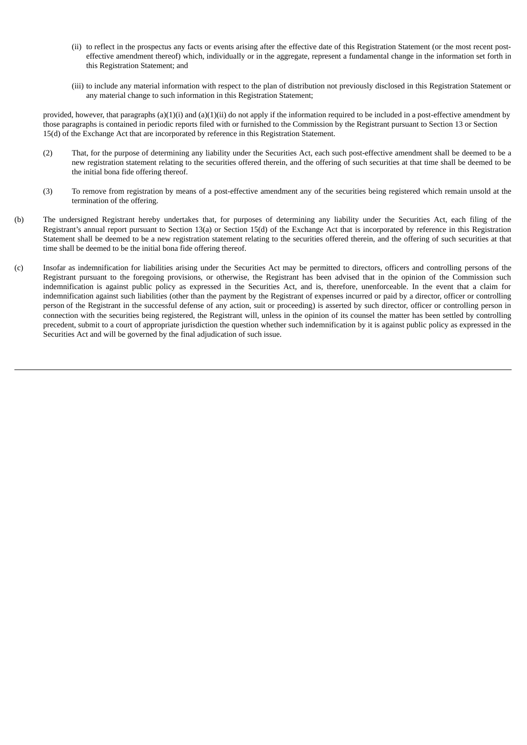- (ii) to reflect in the prospectus any facts or events arising after the effective date of this Registration Statement (or the most recent posteffective amendment thereof) which, individually or in the aggregate, represent a fundamental change in the information set forth in this Registration Statement; and
- (iii) to include any material information with respect to the plan of distribution not previously disclosed in this Registration Statement or any material change to such information in this Registration Statement;

provided, however, that paragraphs (a)(1)(i) and (a)(1)(ii) do not apply if the information required to be included in a post-effective amendment by those paragraphs is contained in periodic reports filed with or furnished to the Commission by the Registrant pursuant to Section 13 or Section 15(d) of the Exchange Act that are incorporated by reference in this Registration Statement.

- (2) That, for the purpose of determining any liability under the Securities Act, each such post-effective amendment shall be deemed to be a new registration statement relating to the securities offered therein, and the offering of such securities at that time shall be deemed to be the initial bona fide offering thereof.
- (3) To remove from registration by means of a post-effective amendment any of the securities being registered which remain unsold at the termination of the offering.
- (b) The undersigned Registrant hereby undertakes that, for purposes of determining any liability under the Securities Act, each filing of the Registrant's annual report pursuant to Section 13(a) or Section 15(d) of the Exchange Act that is incorporated by reference in this Registration Statement shall be deemed to be a new registration statement relating to the securities offered therein, and the offering of such securities at that time shall be deemed to be the initial bona fide offering thereof.
- (c) Insofar as indemnification for liabilities arising under the Securities Act may be permitted to directors, officers and controlling persons of the Registrant pursuant to the foregoing provisions, or otherwise, the Registrant has been advised that in the opinion of the Commission such indemnification is against public policy as expressed in the Securities Act, and is, therefore, unenforceable. In the event that a claim for indemnification against such liabilities (other than the payment by the Registrant of expenses incurred or paid by a director, officer or controlling person of the Registrant in the successful defense of any action, suit or proceeding) is asserted by such director, officer or controlling person in connection with the securities being registered, the Registrant will, unless in the opinion of its counsel the matter has been settled by controlling precedent, submit to a court of appropriate jurisdiction the question whether such indemnification by it is against public policy as expressed in the Securities Act and will be governed by the final adjudication of such issue.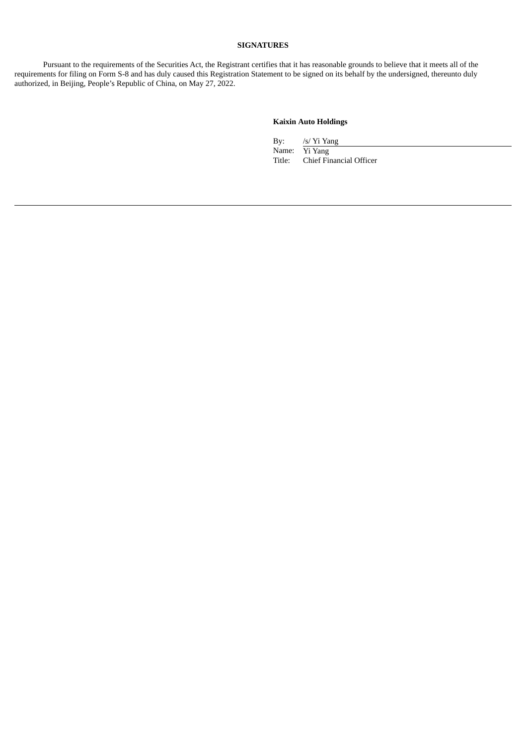## **SIGNATURES**

Pursuant to the requirements of the Securities Act, the Registrant certifies that it has reasonable grounds to believe that it meets all of the requirements for filing on Form S-8 and has duly caused this Registration Statement to be signed on its behalf by the undersigned, thereunto duly authorized, in Beijing, People's Republic of China, on May 27, 2022.

## **Kaixin Auto Holdings**

By: /s/ Yi Yang Name: Yi Yang<br>Title: Chief Fir Chief Financial Officer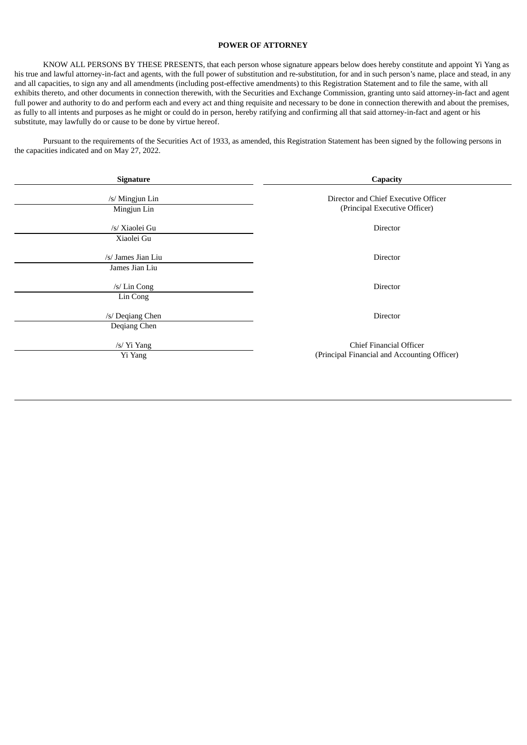## **POWER OF ATTORNEY**

<span id="page-5-0"></span>KNOW ALL PERSONS BY THESE PRESENTS, that each person whose signature appears below does hereby constitute and appoint Yi Yang as his true and lawful attorney-in-fact and agents, with the full power of substitution and re-substitution, for and in such person's name, place and stead, in any and all capacities, to sign any and all amendments (including post-effective amendments) to this Registration Statement and to file the same, with all exhibits thereto, and other documents in connection therewith, with the Securities and Exchange Commission, granting unto said attorney-in-fact and agent full power and authority to do and perform each and every act and thing requisite and necessary to be done in connection therewith and about the premises, as fully to all intents and purposes as he might or could do in person, hereby ratifying and confirming all that said attorney-in-fact and agent or his substitute, may lawfully do or cause to be done by virtue hereof.

Pursuant to the requirements of the Securities Act of 1933, as amended, this Registration Statement has been signed by the following persons in the capacities indicated and on May 27, 2022.

| Signature                            | Capacity                                                                       |  |  |  |  |
|--------------------------------------|--------------------------------------------------------------------------------|--|--|--|--|
| /s/ Mingjun Lin<br>Mingjun Lin       | Director and Chief Executive Officer<br>(Principal Executive Officer)          |  |  |  |  |
| /s/ Xiaolei Gu<br>Xiaolei Gu         | Director                                                                       |  |  |  |  |
| /s/ James Jian Liu<br>James Jian Liu | Director                                                                       |  |  |  |  |
| /s/ Lin Cong                         | Director                                                                       |  |  |  |  |
| Lin Cong<br>/s/ Deqiang Chen         | Director                                                                       |  |  |  |  |
| Deqiang Chen<br>/s/ Yi Yang          | <b>Chief Financial Officer</b><br>(Principal Financial and Accounting Officer) |  |  |  |  |
| Yi Yang                              |                                                                                |  |  |  |  |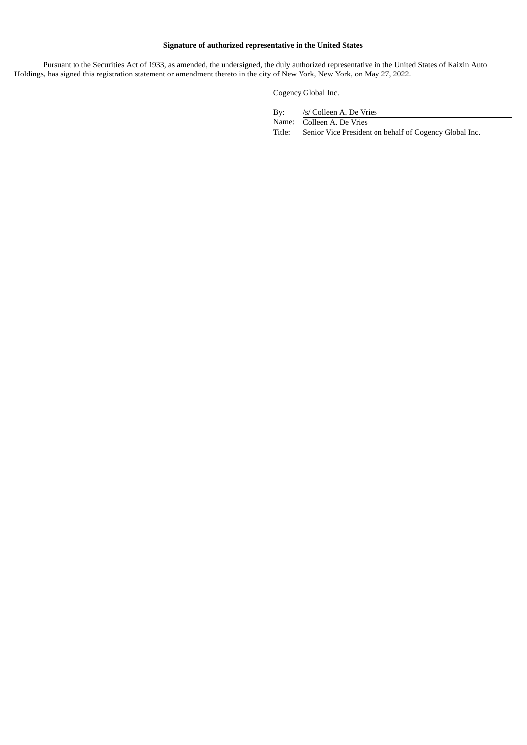## **Signature of authorized representative in the United States**

Pursuant to the Securities Act of 1933, as amended, the undersigned, the duly authorized representative in the United States of Kaixin Auto Holdings, has signed this registration statement or amendment thereto in the city of New York, New York, on May 27, 2022.

Cogency Global Inc.

By: /s/ Colleen A. De Vries Name: Colleen A. De Vries Title: Senior Vice President on behalf of Cogency Global Inc.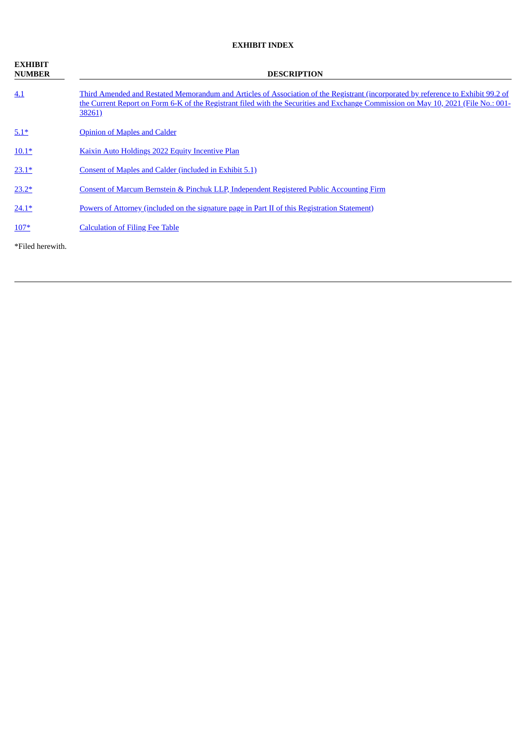## **EXHIBIT INDEX**

| <b>EXHIBIT</b><br><b>NUMBER</b> | <b>DESCRIPTION</b>                                                                                                                                                                                                                                                                |  |  |  |  |  |  |
|---------------------------------|-----------------------------------------------------------------------------------------------------------------------------------------------------------------------------------------------------------------------------------------------------------------------------------|--|--|--|--|--|--|
| 4.1                             | Third Amended and Restated Memorandum and Articles of Association of the Registrant (incorporated by reference to Exhibit 99.2 of<br>the Current Report on Form 6-K of the Registrant filed with the Securities and Exchange Commission on May 10, 2021 (File No.: 001-<br>38261) |  |  |  |  |  |  |
| $5.1*$                          | <b>Opinion of Maples and Calder</b>                                                                                                                                                                                                                                               |  |  |  |  |  |  |
| $10.1*$                         | Kaixin Auto Holdings 2022 Equity Incentive Plan                                                                                                                                                                                                                                   |  |  |  |  |  |  |
| $23.1*$                         | Consent of Maples and Calder (included in Exhibit 5.1)                                                                                                                                                                                                                            |  |  |  |  |  |  |
| $23.2*$                         | <b>Consent of Marcum Bernstein &amp; Pinchuk LLP, Independent Registered Public Accounting Firm</b>                                                                                                                                                                               |  |  |  |  |  |  |
| $24.1*$                         | <u>Powers of Attorney (included on the signature page in Part II of this Registration Statement)</u>                                                                                                                                                                              |  |  |  |  |  |  |
| $107*$                          | <b>Calculation of Filing Fee Table</b>                                                                                                                                                                                                                                            |  |  |  |  |  |  |
| *Filed herewith.                |                                                                                                                                                                                                                                                                                   |  |  |  |  |  |  |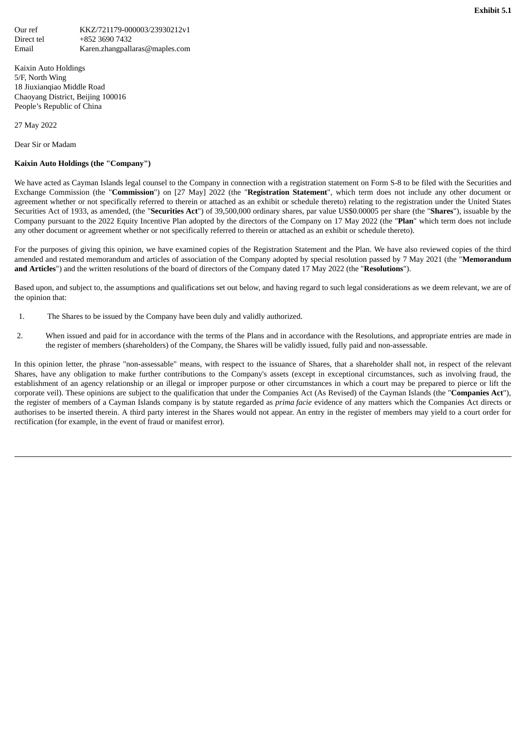<span id="page-8-0"></span>Kaixin Auto Holdings 5/F, North Wing 18 Jiuxianqiao Middle Road Chaoyang District, Beijing 100016 People's Republic of China

27 May 2022

Dear Sir or Madam

## **Kaixin Auto Holdings (the "Company")**

We have acted as Cayman Islands legal counsel to the Company in connection with a registration statement on Form S-8 to be filed with the Securities and Exchange Commission (the "**Commission**") on [27 May] 2022 (the "**Registration Statement**", which term does not include any other document or agreement whether or not specifically referred to therein or attached as an exhibit or schedule thereto) relating to the registration under the United States Securities Act of 1933, as amended, (the "**Securities Act**") of 39,500,000 ordinary shares, par value US\$0.00005 per share (the "**Shares**"), issuable by the Company pursuant to the 2022 Equity Incentive Plan adopted by the directors of the Company on 17 May 2022 (the "**Plan**" which term does not include any other document or agreement whether or not specifically referred to therein or attached as an exhibit or schedule thereto).

For the purposes of giving this opinion, we have examined copies of the Registration Statement and the Plan. We have also reviewed copies of the third amended and restated memorandum and articles of association of the Company adopted by special resolution passed by 7 May 2021 (the "**Memorandum and Articles**") and the written resolutions of the board of directors of the Company dated 17 May 2022 (the "**Resolutions**").

Based upon, and subject to, the assumptions and qualifications set out below, and having regard to such legal considerations as we deem relevant, we are of the opinion that:

- 1. The Shares to be issued by the Company have been duly and validly authorized.
- 2. When issued and paid for in accordance with the terms of the Plans and in accordance with the Resolutions, and appropriate entries are made in the register of members (shareholders) of the Company, the Shares will be validly issued, fully paid and non-assessable.

In this opinion letter, the phrase "non-assessable" means, with respect to the issuance of Shares, that a shareholder shall not, in respect of the relevant Shares, have any obligation to make further contributions to the Company's assets (except in exceptional circumstances, such as involving fraud, the establishment of an agency relationship or an illegal or improper purpose or other circumstances in which a court may be prepared to pierce or lift the corporate veil). These opinions are subject to the qualification that under the Companies Act (As Revised) of the Cayman Islands (the "**Companies Act**"), the register of members of a Cayman Islands company is by statute regarded as *prima facie* evidence of any matters which the Companies Act directs or authorises to be inserted therein. A third party interest in the Shares would not appear. An entry in the register of members may yield to a court order for rectification (for example, in the event of fraud or manifest error).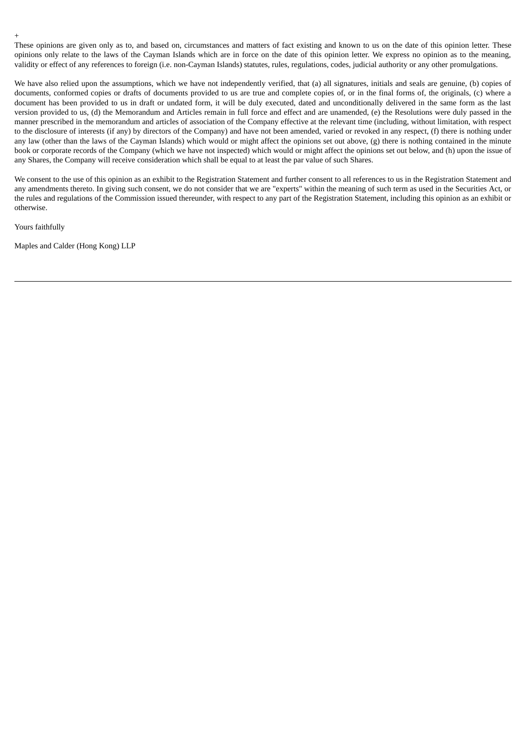These opinions are given only as to, and based on, circumstances and matters of fact existing and known to us on the date of this opinion letter. These opinions only relate to the laws of the Cayman Islands which are in force on the date of this opinion letter. We express no opinion as to the meaning, validity or effect of any references to foreign (i.e. non-Cayman Islands) statutes, rules, regulations, codes, judicial authority or any other promulgations.

We have also relied upon the assumptions, which we have not independently verified, that (a) all signatures, initials and seals are genuine, (b) copies of documents, conformed copies or drafts of documents provided to us are true and complete copies of, or in the final forms of, the originals, (c) where a document has been provided to us in draft or undated form, it will be duly executed, dated and unconditionally delivered in the same form as the last version provided to us, (d) the Memorandum and Articles remain in full force and effect and are unamended, (e) the Resolutions were duly passed in the manner prescribed in the memorandum and articles of association of the Company effective at the relevant time (including, without limitation, with respect to the disclosure of interests (if any) by directors of the Company) and have not been amended, varied or revoked in any respect, (f) there is nothing under any law (other than the laws of the Cayman Islands) which would or might affect the opinions set out above, (g) there is nothing contained in the minute book or corporate records of the Company (which we have not inspected) which would or might affect the opinions set out below, and (h) upon the issue of any Shares, the Company will receive consideration which shall be equal to at least the par value of such Shares.

We consent to the use of this opinion as an exhibit to the Registration Statement and further consent to all references to us in the Registration Statement and any amendments thereto. In giving such consent, we do not consider that we are "experts" within the meaning of such term as used in the Securities Act, or the rules and regulations of the Commission issued thereunder, with respect to any part of the Registration Statement, including this opinion as an exhibit or otherwise.

Yours faithfully

Maples and Calder (Hong Kong) LLP

+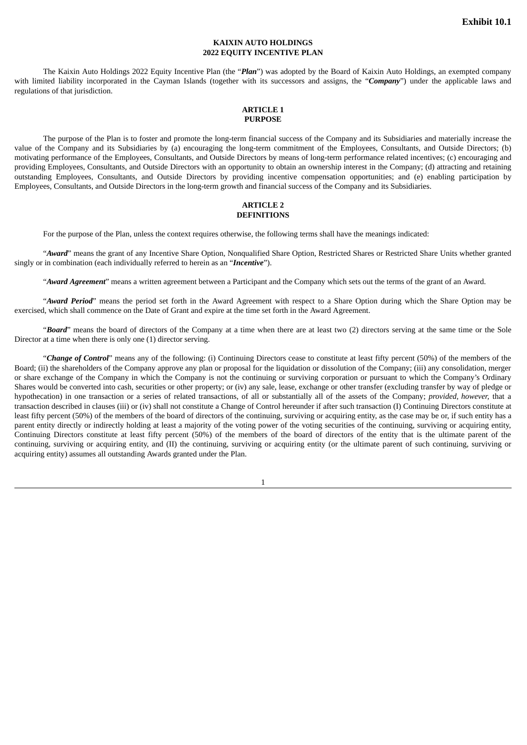## **KAIXIN AUTO HOLDINGS 2022 EQUITY INCENTIVE PLAN**

<span id="page-10-0"></span>The Kaixin Auto Holdings 2022 Equity Incentive Plan (the "*Plan*") was adopted by the Board of Kaixin Auto Holdings, an exempted company with limited liability incorporated in the Cayman Islands (together with its successors and assigns, the "*Company*") under the applicable laws and regulations of that jurisdiction.

#### **ARTICLE 1 PURPOSE**

The purpose of the Plan is to foster and promote the long-term financial success of the Company and its Subsidiaries and materially increase the value of the Company and its Subsidiaries by (a) encouraging the long-term commitment of the Employees, Consultants, and Outside Directors; (b) motivating performance of the Employees, Consultants, and Outside Directors by means of long-term performance related incentives; (c) encouraging and providing Employees, Consultants, and Outside Directors with an opportunity to obtain an ownership interest in the Company; (d) attracting and retaining outstanding Employees, Consultants, and Outside Directors by providing incentive compensation opportunities; and (e) enabling participation by Employees, Consultants, and Outside Directors in the long-term growth and financial success of the Company and its Subsidiaries.

#### **ARTICLE 2 DEFINITIONS**

For the purpose of the Plan, unless the context requires otherwise, the following terms shall have the meanings indicated:

"*Award*" means the grant of any Incentive Share Option, Nonqualified Share Option, Restricted Shares or Restricted Share Units whether granted singly or in combination (each individually referred to herein as an "*Incentive*").

"*Award Agreement*" means a written agreement between a Participant and the Company which sets out the terms of the grant of an Award.

"*Award Period*" means the period set forth in the Award Agreement with respect to a Share Option during which the Share Option may be exercised, which shall commence on the Date of Grant and expire at the time set forth in the Award Agreement.

"*Board*" means the board of directors of the Company at a time when there are at least two (2) directors serving at the same time or the Sole Director at a time when there is only one (1) director serving.

"*Change of Control*" means any of the following: (i) Continuing Directors cease to constitute at least fifty percent (50%) of the members of the Board; (ii) the shareholders of the Company approve any plan or proposal for the liquidation or dissolution of the Company; (iii) any consolidation, merger or share exchange of the Company in which the Company is not the continuing or surviving corporation or pursuant to which the Company's Ordinary Shares would be converted into cash, securities or other property; or (iv) any sale, lease, exchange or other transfer (excluding transfer by way of pledge or hypothecation) in one transaction or a series of related transactions, of all or substantially all of the assets of the Company; *provided, however,* that a transaction described in clauses (iii) or (iv) shall not constitute a Change of Control hereunder if after such transaction (I) Continuing Directors constitute at least fifty percent (50%) of the members of the board of directors of the continuing, surviving or acquiring entity, as the case may be or, if such entity has a parent entity directly or indirectly holding at least a majority of the voting power of the voting securities of the continuing, surviving or acquiring entity, Continuing Directors constitute at least fifty percent (50%) of the members of the board of directors of the entity that is the ultimate parent of the continuing, surviving or acquiring entity, and (II) the continuing, surviving or acquiring entity (or the ultimate parent of such continuing, surviving or acquiring entity) assumes all outstanding Awards granted under the Plan.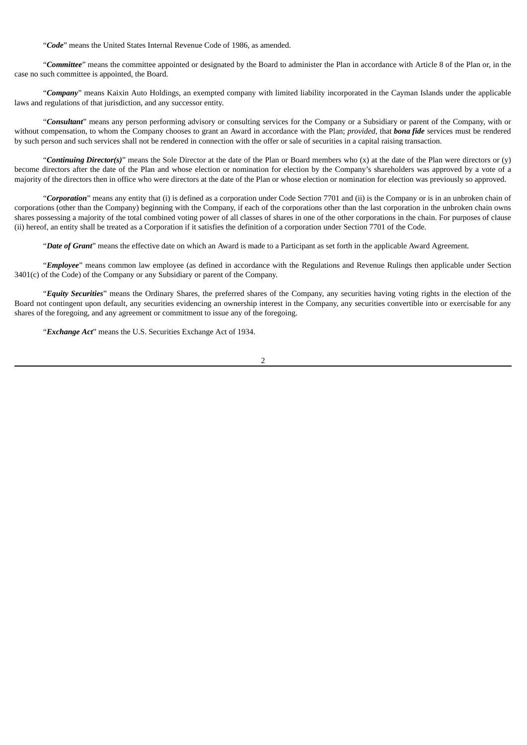"*Code*" means the United States Internal Revenue Code of 1986, as amended.

"*Committee*" means the committee appointed or designated by the Board to administer the Plan in accordance with Article 8 of the Plan or, in the case no such committee is appointed, the Board.

"*Company*" means Kaixin Auto Holdings, an exempted company with limited liability incorporated in the Cayman Islands under the applicable laws and regulations of that jurisdiction, and any successor entity.

"*Consultant*" means any person performing advisory or consulting services for the Company or a Subsidiary or parent of the Company, with or without compensation, to whom the Company chooses to grant an Award in accordance with the Plan; *provided,* that *bona fide* services must be rendered by such person and such services shall not be rendered in connection with the offer or sale of securities in a capital raising transaction.

"*Continuing Director(s)*" means the Sole Director at the date of the Plan or Board members who (x) at the date of the Plan were directors or (y) become directors after the date of the Plan and whose election or nomination for election by the Company's shareholders was approved by a vote of a majority of the directors then in office who were directors at the date of the Plan or whose election or nomination for election was previously so approved.

"*Corporation*" means any entity that (i) is defined as a corporation under Code Section 7701 and (ii) is the Company or is in an unbroken chain of corporations (other than the Company) beginning with the Company, if each of the corporations other than the last corporation in the unbroken chain owns shares possessing a majority of the total combined voting power of all classes of shares in one of the other corporations in the chain. For purposes of clause (ii) hereof, an entity shall be treated as a Corporation if it satisfies the definition of a corporation under Section 7701 of the Code.

"*Date of Grant*" means the effective date on which an Award is made to a Participant as set forth in the applicable Award Agreement.

"*Employee*" means common law employee (as defined in accordance with the Regulations and Revenue Rulings then applicable under Section 3401(c) of the Code) of the Company or any Subsidiary or parent of the Company.

"*Equity Securities*" means the Ordinary Shares, the preferred shares of the Company, any securities having voting rights in the election of the Board not contingent upon default, any securities evidencing an ownership interest in the Company, any securities convertible into or exercisable for any shares of the foregoing, and any agreement or commitment to issue any of the foregoing.

"*Exchange Act*" means the U.S. Securities Exchange Act of 1934.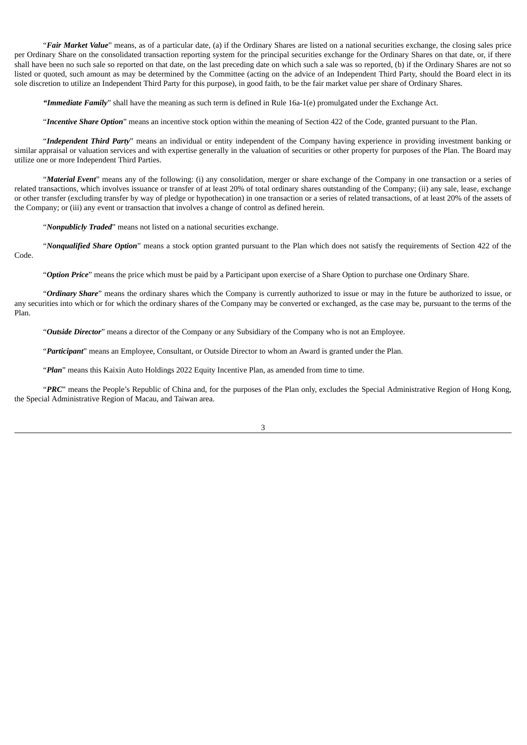"*Fair Market Value*" means, as of a particular date, (a) if the Ordinary Shares are listed on a national securities exchange, the closing sales price per Ordinary Share on the consolidated transaction reporting system for the principal securities exchange for the Ordinary Shares on that date, or, if there shall have been no such sale so reported on that date, on the last preceding date on which such a sale was so reported, (b) if the Ordinary Shares are not so listed or quoted, such amount as may be determined by the Committee (acting on the advice of an Independent Third Party, should the Board elect in its sole discretion to utilize an Independent Third Party for this purpose), in good faith, to be the fair market value per share of Ordinary Shares.

*"Immediate Family*" shall have the meaning as such term is defined in Rule 16a-1(e) promulgated under the Exchange Act.

"*Incentive Share Option*" means an incentive stock option within the meaning of Section 422 of the Code, granted pursuant to the Plan.

"*Independent Third Party*" means an individual or entity independent of the Company having experience in providing investment banking or similar appraisal or valuation services and with expertise generally in the valuation of securities or other property for purposes of the Plan. The Board may utilize one or more Independent Third Parties.

"*Material Event*" means any of the following: (i) any consolidation, merger or share exchange of the Company in one transaction or a series of related transactions, which involves issuance or transfer of at least 20% of total ordinary shares outstanding of the Company; (ii) any sale, lease, exchange or other transfer (excluding transfer by way of pledge or hypothecation) in one transaction or a series of related transactions, of at least 20% of the assets of the Company; or (iii) any event or transaction that involves a change of control as defined herein.

"*Nonpublicly Traded*" means not listed on a national securities exchange.

"*Nonqualified Share Option*" means a stock option granted pursuant to the Plan which does not satisfy the requirements of Section 422 of the Code.

"*Option Price*" means the price which must be paid by a Participant upon exercise of a Share Option to purchase one Ordinary Share.

"*Ordinary Share*" means the ordinary shares which the Company is currently authorized to issue or may in the future be authorized to issue, or any securities into which or for which the ordinary shares of the Company may be converted or exchanged, as the case may be, pursuant to the terms of the Plan.

"*Outside Director*" means a director of the Company or any Subsidiary of the Company who is not an Employee.

"*Participant*" means an Employee, Consultant, or Outside Director to whom an Award is granted under the Plan.

"*Plan*" means this Kaixin Auto Holdings 2022 Equity Incentive Plan, as amended from time to time.

"*PRC*" means the People's Republic of China and, for the purposes of the Plan only, excludes the Special Administrative Region of Hong Kong, the Special Administrative Region of Macau, and Taiwan area.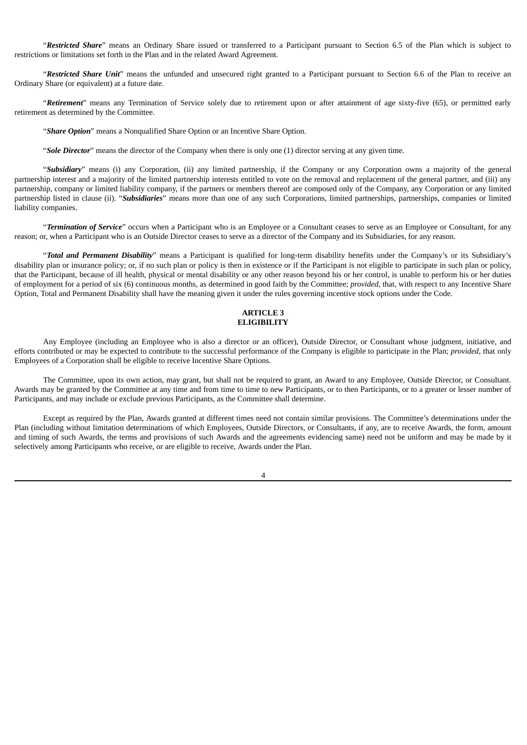"*Restricted Share*" means an Ordinary Share issued or transferred to a Participant pursuant to Section 6.5 of the Plan which is subject to restrictions or limitations set forth in the Plan and in the related Award Agreement.

"*Restricted Share Unit*" means the unfunded and unsecured right granted to a Participant pursuant to Section 6.6 of the Plan to receive an Ordinary Share (or equivalent) at a future date.

"*Retirement*" means any Termination of Service solely due to retirement upon or after attainment of age sixty-five (65), or permitted early retirement as determined by the Committee.

"*Share Option*" means a Nonqualified Share Option or an Incentive Share Option.

"*Sole Director*" means the director of the Company when there is only one (1) director serving at any given time.

"*Subsidiary*" means (i) any Corporation, (ii) any limited partnership, if the Company or any Corporation owns a majority of the general partnership interest and a majority of the limited partnership interests entitled to vote on the removal and replacement of the general partner, and (iii) any partnership, company or limited liability company, if the partners or members thereof are composed only of the Company, any Corporation or any limited partnership listed in clause (ii). "*Subsidiaries*" means more than one of any such Corporations, limited partnerships, partnerships, companies or limited liability companies.

"*Termination of Service*" occurs when a Participant who is an Employee or a Consultant ceases to serve as an Employee or Consultant, for any reason; or, when a Participant who is an Outside Director ceases to serve as a director of the Company and its Subsidiaries, for any reason.

"*Total and Permanent Disability*" means a Participant is qualified for long-term disability benefits under the Company's or its Subsidiary's disability plan or insurance policy; or, if no such plan or policy is then in existence or if the Participant is not eligible to participate in such plan or policy, that the Participant, because of ill health, physical or mental disability or any other reason beyond his or her control, is unable to perform his or her duties of employment for a period of six (6) continuous months, as determined in good faith by the Committee; *provided*, that, with respect to any Incentive Share Option, Total and Permanent Disability shall have the meaning given it under the rules governing incentive stock options under the Code.

#### **ARTICLE 3 ELIGIBILITY**

Any Employee (including an Employee who is also a director or an officer), Outside Director, or Consultant whose judgment, initiative, and efforts contributed or may be expected to contribute to the successful performance of the Company is eligible to participate in the Plan; *provided*, that only Employees of a Corporation shall be eligible to receive Incentive Share Options.

The Committee, upon its own action, may grant, but shall not be required to grant, an Award to any Employee, Outside Director, or Consultant. Awards may be granted by the Committee at any time and from time to time to new Participants, or to then Participants, or to a greater or lesser number of Participants, and may include or exclude previous Participants, as the Committee shall determine.

Except as required by the Plan, Awards granted at different times need not contain similar provisions. The Committee's determinations under the Plan (including without limitation determinations of which Employees, Outside Directors, or Consultants, if any, are to receive Awards, the form, amount and timing of such Awards, the terms and provisions of such Awards and the agreements evidencing same) need not be uniform and may be made by it selectively among Participants who receive, or are eligible to receive, Awards under the Plan.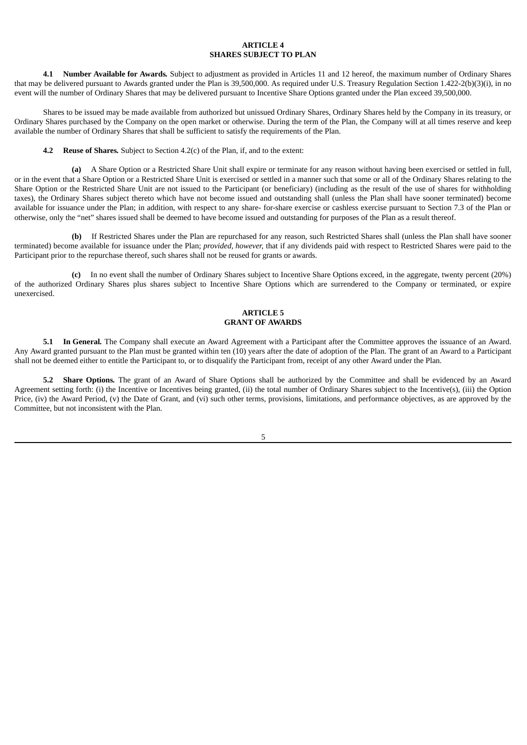## **ARTICLE 4 SHARES SUBJECT TO PLAN**

**4.1 Number Available for Awards***.* Subject to adjustment as provided in Articles 11 and 12 hereof, the maximum number of Ordinary Shares that may be delivered pursuant to Awards granted under the Plan is 39,500,000. As required under U.S. Treasury Regulation Section 1.422-2(b)(3)(i), in no event will the number of Ordinary Shares that may be delivered pursuant to Incentive Share Options granted under the Plan exceed 39,500,000.

Shares to be issued may be made available from authorized but unissued Ordinary Shares, Ordinary Shares held by the Company in its treasury, or Ordinary Shares purchased by the Company on the open market or otherwise. During the term of the Plan, the Company will at all times reserve and keep available the number of Ordinary Shares that shall be sufficient to satisfy the requirements of the Plan.

**4.2 Reuse of Shares***.* Subject to Section 4.2(c) of the Plan, if, and to the extent:

**(a)** A Share Option or a Restricted Share Unit shall expire or terminate for any reason without having been exercised or settled in full, or in the event that a Share Option or a Restricted Share Unit is exercised or settled in a manner such that some or all of the Ordinary Shares relating to the Share Option or the Restricted Share Unit are not issued to the Participant (or beneficiary) (including as the result of the use of shares for withholding taxes), the Ordinary Shares subject thereto which have not become issued and outstanding shall (unless the Plan shall have sooner terminated) become available for issuance under the Plan; in addition, with respect to any share- for-share exercise or cashless exercise pursuant to Section 7.3 of the Plan or otherwise, only the "net" shares issued shall be deemed to have become issued and outstanding for purposes of the Plan as a result thereof.

**(b)** If Restricted Shares under the Plan are repurchased for any reason, such Restricted Shares shall (unless the Plan shall have sooner terminated) become available for issuance under the Plan; *provided, however,* that if any dividends paid with respect to Restricted Shares were paid to the Participant prior to the repurchase thereof, such shares shall not be reused for grants or awards.

**(c)** In no event shall the number of Ordinary Shares subject to Incentive Share Options exceed, in the aggregate, twenty percent (20%) of the authorized Ordinary Shares plus shares subject to Incentive Share Options which are surrendered to the Company or terminated, or expire unexercised.

#### **ARTICLE 5 GRANT OF AWARDS**

**5.1 In General***.* The Company shall execute an Award Agreement with a Participant after the Committee approves the issuance of an Award. Any Award granted pursuant to the Plan must be granted within ten (10) years after the date of adoption of the Plan. The grant of an Award to a Participant shall not be deemed either to entitle the Participant to, or to disqualify the Participant from, receipt of any other Award under the Plan.

**5.2 Share Options***.* The grant of an Award of Share Options shall be authorized by the Committee and shall be evidenced by an Award Agreement setting forth: (i) the Incentive or Incentives being granted, (ii) the total number of Ordinary Shares subject to the Incentive(s), (iii) the Option Price, (iv) the Award Period, (v) the Date of Grant, and (vi) such other terms, provisions, limitations, and performance objectives, as are approved by the Committee, but not inconsistent with the Plan.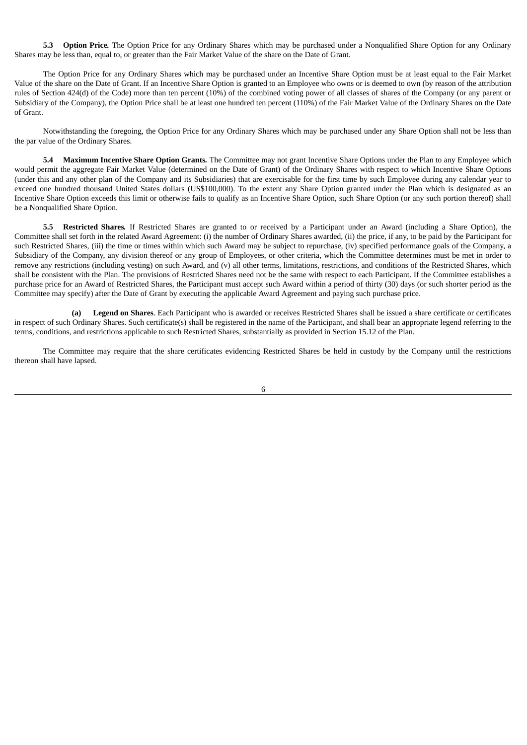**5.3 Option Price***.* The Option Price for any Ordinary Shares which may be purchased under a Nonqualified Share Option for any Ordinary Shares may be less than, equal to, or greater than the Fair Market Value of the share on the Date of Grant.

The Option Price for any Ordinary Shares which may be purchased under an Incentive Share Option must be at least equal to the Fair Market Value of the share on the Date of Grant. If an Incentive Share Option is granted to an Employee who owns or is deemed to own (by reason of the attribution rules of Section 424(d) of the Code) more than ten percent (10%) of the combined voting power of all classes of shares of the Company (or any parent or Subsidiary of the Company), the Option Price shall be at least one hundred ten percent (110%) of the Fair Market Value of the Ordinary Shares on the Date of Grant.

Notwithstanding the foregoing, the Option Price for any Ordinary Shares which may be purchased under any Share Option shall not be less than the par value of the Ordinary Shares.

**5.4 Maximum Incentive Share Option Grants***.* The Committee may not grant Incentive Share Options under the Plan to any Employee which would permit the aggregate Fair Market Value (determined on the Date of Grant) of the Ordinary Shares with respect to which Incentive Share Options (under this and any other plan of the Company and its Subsidiaries) that are exercisable for the first time by such Employee during any calendar year to exceed one hundred thousand United States dollars (US\$100,000). To the extent any Share Option granted under the Plan which is designated as an Incentive Share Option exceeds this limit or otherwise fails to qualify as an Incentive Share Option, such Share Option (or any such portion thereof) shall be a Nonqualified Share Option.

**5.5 Restricted Shares***.* If Restricted Shares are granted to or received by a Participant under an Award (including a Share Option), the Committee shall set forth in the related Award Agreement: (i) the number of Ordinary Shares awarded, (ii) the price, if any, to be paid by the Participant for such Restricted Shares, (iii) the time or times within which such Award may be subject to repurchase, (iv) specified performance goals of the Company, a Subsidiary of the Company, any division thereof or any group of Employees, or other criteria, which the Committee determines must be met in order to remove any restrictions (including vesting) on such Award, and (v) all other terms, limitations, restrictions, and conditions of the Restricted Shares, which shall be consistent with the Plan. The provisions of Restricted Shares need not be the same with respect to each Participant. If the Committee establishes a purchase price for an Award of Restricted Shares, the Participant must accept such Award within a period of thirty (30) days (or such shorter period as the Committee may specify) after the Date of Grant by executing the applicable Award Agreement and paying such purchase price.

**(a) Legend on Shares**. Each Participant who is awarded or receives Restricted Shares shall be issued a share certificate or certificates in respect of such Ordinary Shares. Such certificate(s) shall be registered in the name of the Participant, and shall bear an appropriate legend referring to the terms, conditions, and restrictions applicable to such Restricted Shares, substantially as provided in Section 15.12 of the Plan.

The Committee may require that the share certificates evidencing Restricted Shares be held in custody by the Company until the restrictions thereon shall have lapsed.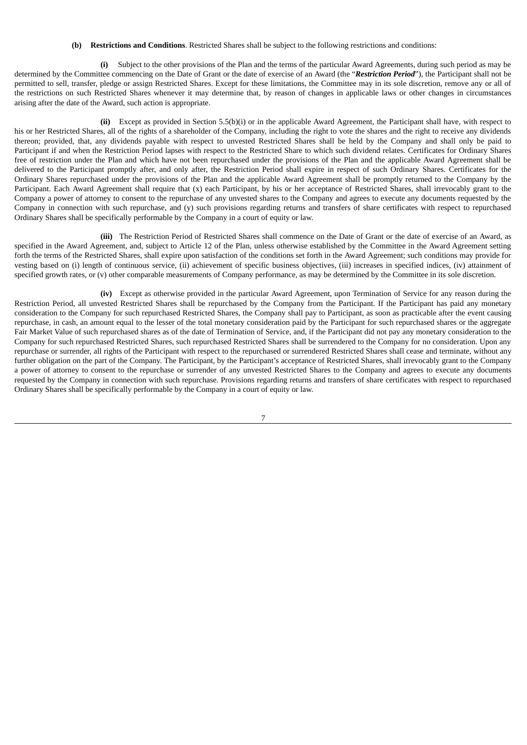#### **(b) Restrictions and Conditions**. Restricted Shares shall be subject to the following restrictions and conditions:

**(i)** Subject to the other provisions of the Plan and the terms of the particular Award Agreements, during such period as may be determined by the Committee commencing on the Date of Grant or the date of exercise of an Award (the "*Restriction Period*"), the Participant shall not be permitted to sell, transfer, pledge or assign Restricted Shares. Except for these limitations, the Committee may in its sole discretion, remove any or all of the restrictions on such Restricted Shares whenever it may determine that, by reason of changes in applicable laws or other changes in circumstances arising after the date of the Award, such action is appropriate.

**(ii)** Except as provided in Section 5.5(b)(i) or in the applicable Award Agreement, the Participant shall have, with respect to his or her Restricted Shares, all of the rights of a shareholder of the Company, including the right to vote the shares and the right to receive any dividends thereon; provided, that, any dividends payable with respect to unvested Restricted Shares shall be held by the Company and shall only be paid to Participant if and when the Restriction Period lapses with respect to the Restricted Share to which such dividend relates. Certificates for Ordinary Shares free of restriction under the Plan and which have not been repurchased under the provisions of the Plan and the applicable Award Agreement shall be delivered to the Participant promptly after, and only after, the Restriction Period shall expire in respect of such Ordinary Shares. Certificates for the Ordinary Shares repurchased under the provisions of the Plan and the applicable Award Agreement shall be promptly returned to the Company by the Participant. Each Award Agreement shall require that (x) each Participant, by his or her acceptance of Restricted Shares, shall irrevocably grant to the Company a power of attorney to consent to the repurchase of any unvested shares to the Company and agrees to execute any documents requested by the Company in connection with such repurchase, and (y) such provisions regarding returns and transfers of share certificates with respect to repurchased Ordinary Shares shall be specifically performable by the Company in a court of equity or law.

**(iii)** The Restriction Period of Restricted Shares shall commence on the Date of Grant or the date of exercise of an Award, as specified in the Award Agreement, and, subject to Article 12 of the Plan, unless otherwise established by the Committee in the Award Agreement setting forth the terms of the Restricted Shares, shall expire upon satisfaction of the conditions set forth in the Award Agreement; such conditions may provide for vesting based on (i) length of continuous service, (ii) achievement of specific business objectives, (iii) increases in specified indices, (iv) attainment of specified growth rates, or (v) other comparable measurements of Company performance, as may be determined by the Committee in its sole discretion.

**(iv)** Except as otherwise provided in the particular Award Agreement, upon Termination of Service for any reason during the Restriction Period, all unvested Restricted Shares shall be repurchased by the Company from the Participant. If the Participant has paid any monetary consideration to the Company for such repurchased Restricted Shares, the Company shall pay to Participant, as soon as practicable after the event causing repurchase, in cash, an amount equal to the lesser of the total monetary consideration paid by the Participant for such repurchased shares or the aggregate Fair Market Value of such repurchased shares as of the date of Termination of Service, and, if the Participant did not pay any monetary consideration to the Company for such repurchased Restricted Shares, such repurchased Restricted Shares shall be surrendered to the Company for no consideration. Upon any repurchase or surrender, all rights of the Participant with respect to the repurchased or surrendered Restricted Shares shall cease and terminate, without any further obligation on the part of the Company. The Participant, by the Participant's acceptance of Restricted Shares, shall irrevocably grant to the Company a power of attorney to consent to the repurchase or surrender of any unvested Restricted Shares to the Company and agrees to execute any documents requested by the Company in connection with such repurchase. Provisions regarding returns and transfers of share certificates with respect to repurchased Ordinary Shares shall be specifically performable by the Company in a court of equity or law.

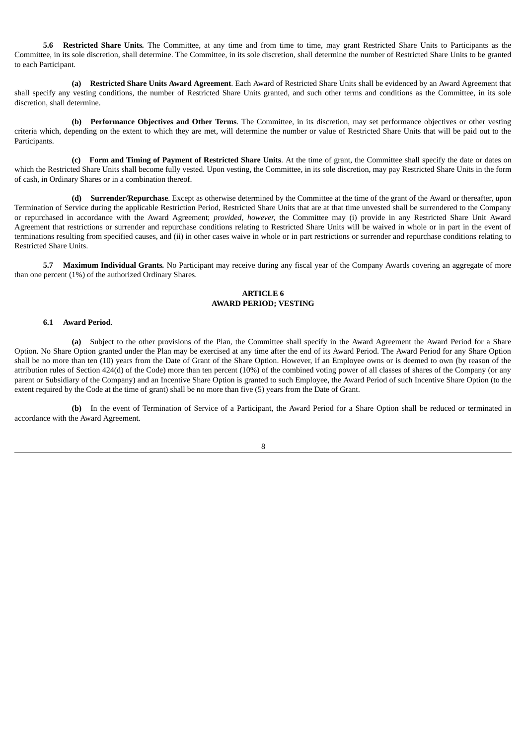**5.6 Restricted Share Units***.* The Committee, at any time and from time to time, may grant Restricted Share Units to Participants as the Committee, in its sole discretion, shall determine. The Committee, in its sole discretion, shall determine the number of Restricted Share Units to be granted to each Participant.

**(a) Restricted Share Units Award Agreement**. Each Award of Restricted Share Units shall be evidenced by an Award Agreement that shall specify any vesting conditions, the number of Restricted Share Units granted, and such other terms and conditions as the Committee, in its sole discretion, shall determine.

**(b) Performance Objectives and Other Terms**. The Committee, in its discretion, may set performance objectives or other vesting criteria which, depending on the extent to which they are met, will determine the number or value of Restricted Share Units that will be paid out to the Participants.

**(c) Form and Timing of Payment of Restricted Share Units**. At the time of grant, the Committee shall specify the date or dates on which the Restricted Share Units shall become fully vested. Upon vesting, the Committee, in its sole discretion, may pay Restricted Share Units in the form of cash, in Ordinary Shares or in a combination thereof.

**(d) Surrender/Repurchase**. Except as otherwise determined by the Committee at the time of the grant of the Award or thereafter, upon Termination of Service during the applicable Restriction Period, Restricted Share Units that are at that time unvested shall be surrendered to the Company or repurchased in accordance with the Award Agreement; *provided, however,* the Committee may (i) provide in any Restricted Share Unit Award Agreement that restrictions or surrender and repurchase conditions relating to Restricted Share Units will be waived in whole or in part in the event of terminations resulting from specified causes, and (ii) in other cases waive in whole or in part restrictions or surrender and repurchase conditions relating to Restricted Share Units.

**5.7 Maximum Individual Grants***.* No Participant may receive during any fiscal year of the Company Awards covering an aggregate of more than one percent (1%) of the authorized Ordinary Shares.

#### **ARTICLE 6 AWARD PERIOD; VESTING**

#### **6.1 Award Period**.

**(a)** Subject to the other provisions of the Plan, the Committee shall specify in the Award Agreement the Award Period for a Share Option. No Share Option granted under the Plan may be exercised at any time after the end of its Award Period. The Award Period for any Share Option shall be no more than ten (10) years from the Date of Grant of the Share Option. However, if an Employee owns or is deemed to own (by reason of the attribution rules of Section 424(d) of the Code) more than ten percent (10%) of the combined voting power of all classes of shares of the Company (or any parent or Subsidiary of the Company) and an Incentive Share Option is granted to such Employee, the Award Period of such Incentive Share Option (to the extent required by the Code at the time of grant) shall be no more than five (5) years from the Date of Grant.

**(b)** In the event of Termination of Service of a Participant, the Award Period for a Share Option shall be reduced or terminated in accordance with the Award Agreement.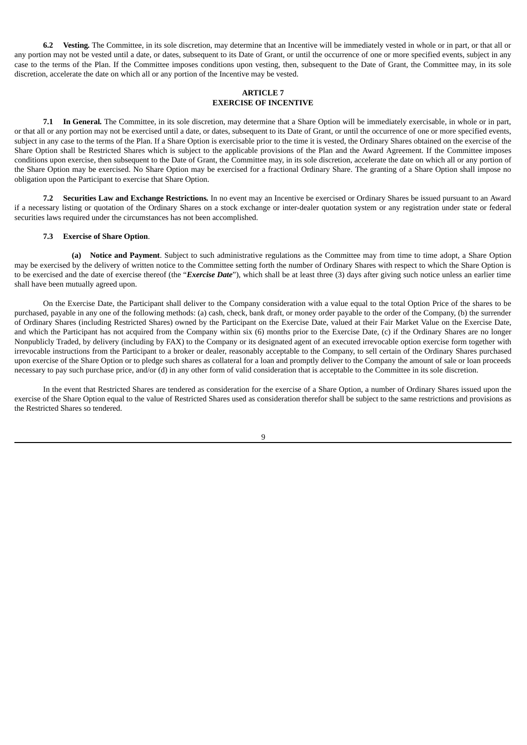**6.2 Vesting***.* The Committee, in its sole discretion, may determine that an Incentive will be immediately vested in whole or in part, or that all or any portion may not be vested until a date, or dates, subsequent to its Date of Grant, or until the occurrence of one or more specified events, subject in any case to the terms of the Plan. If the Committee imposes conditions upon vesting, then, subsequent to the Date of Grant, the Committee may, in its sole discretion, accelerate the date on which all or any portion of the Incentive may be vested.

#### **ARTICLE 7 EXERCISE OF INCENTIVE**

**7.1 In General***.* The Committee, in its sole discretion, may determine that a Share Option will be immediately exercisable, in whole or in part, or that all or any portion may not be exercised until a date, or dates, subsequent to its Date of Grant, or until the occurrence of one or more specified events, subject in any case to the terms of the Plan. If a Share Option is exercisable prior to the time it is vested, the Ordinary Shares obtained on the exercise of the Share Option shall be Restricted Shares which is subject to the applicable provisions of the Plan and the Award Agreement. If the Committee imposes conditions upon exercise, then subsequent to the Date of Grant, the Committee may, in its sole discretion, accelerate the date on which all or any portion of the Share Option may be exercised. No Share Option may be exercised for a fractional Ordinary Share. The granting of a Share Option shall impose no obligation upon the Participant to exercise that Share Option.

**7.2 Securities Law and Exchange Restrictions***.* In no event may an Incentive be exercised or Ordinary Shares be issued pursuant to an Award if a necessary listing or quotation of the Ordinary Shares on a stock exchange or inter-dealer quotation system or any registration under state or federal securities laws required under the circumstances has not been accomplished.

#### **7.3 Exercise of Share Option**.

**(a) Notice and Payment**. Subject to such administrative regulations as the Committee may from time to time adopt, a Share Option may be exercised by the delivery of written notice to the Committee setting forth the number of Ordinary Shares with respect to which the Share Option is to be exercised and the date of exercise thereof (the "*Exercise Date*"), which shall be at least three (3) days after giving such notice unless an earlier time shall have been mutually agreed upon.

On the Exercise Date, the Participant shall deliver to the Company consideration with a value equal to the total Option Price of the shares to be purchased, payable in any one of the following methods: (a) cash, check, bank draft, or money order payable to the order of the Company, (b) the surrender of Ordinary Shares (including Restricted Shares) owned by the Participant on the Exercise Date, valued at their Fair Market Value on the Exercise Date, and which the Participant has not acquired from the Company within six (6) months prior to the Exercise Date, (c) if the Ordinary Shares are no longer Nonpublicly Traded, by delivery (including by FAX) to the Company or its designated agent of an executed irrevocable option exercise form together with irrevocable instructions from the Participant to a broker or dealer, reasonably acceptable to the Company, to sell certain of the Ordinary Shares purchased upon exercise of the Share Option or to pledge such shares as collateral for a loan and promptly deliver to the Company the amount of sale or loan proceeds necessary to pay such purchase price, and/or (d) in any other form of valid consideration that is acceptable to the Committee in its sole discretion.

In the event that Restricted Shares are tendered as consideration for the exercise of a Share Option, a number of Ordinary Shares issued upon the exercise of the Share Option equal to the value of Restricted Shares used as consideration therefor shall be subject to the same restrictions and provisions as the Restricted Shares so tendered.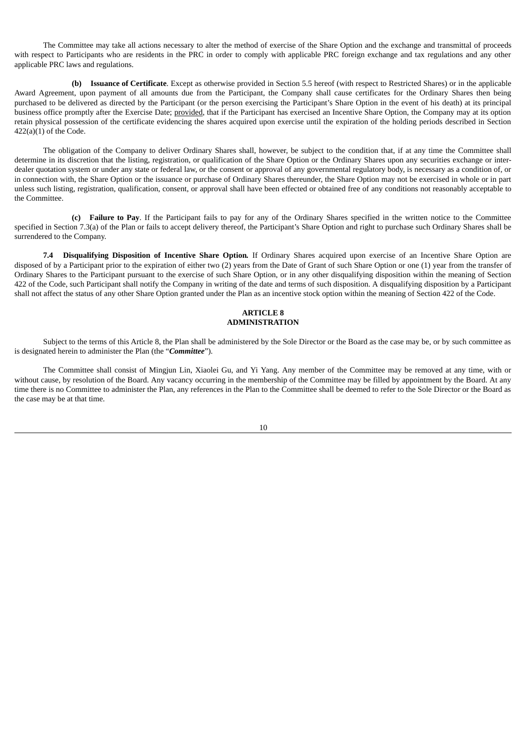The Committee may take all actions necessary to alter the method of exercise of the Share Option and the exchange and transmittal of proceeds with respect to Participants who are residents in the PRC in order to comply with applicable PRC foreign exchange and tax regulations and any other applicable PRC laws and regulations.

**(b) Issuance of Certificate**. Except as otherwise provided in Section 5.5 hereof (with respect to Restricted Shares) or in the applicable Award Agreement, upon payment of all amounts due from the Participant, the Company shall cause certificates for the Ordinary Shares then being purchased to be delivered as directed by the Participant (or the person exercising the Participant's Share Option in the event of his death) at its principal business office promptly after the Exercise Date; provided, that if the Participant has exercised an Incentive Share Option, the Company may at its option retain physical possession of the certificate evidencing the shares acquired upon exercise until the expiration of the holding periods described in Section  $422(a)(1)$  of the Code.

The obligation of the Company to deliver Ordinary Shares shall, however, be subject to the condition that, if at any time the Committee shall determine in its discretion that the listing, registration, or qualification of the Share Option or the Ordinary Shares upon any securities exchange or interdealer quotation system or under any state or federal law, or the consent or approval of any governmental regulatory body, is necessary as a condition of, or in connection with, the Share Option or the issuance or purchase of Ordinary Shares thereunder, the Share Option may not be exercised in whole or in part unless such listing, registration, qualification, consent, or approval shall have been effected or obtained free of any conditions not reasonably acceptable to the Committee.

**(c) Failure to Pay**. If the Participant fails to pay for any of the Ordinary Shares specified in the written notice to the Committee specified in Section 7.3(a) of the Plan or fails to accept delivery thereof, the Participant's Share Option and right to purchase such Ordinary Shares shall be surrendered to the Company.

**7.4 Disqualifying Disposition of Incentive Share Option***.* If Ordinary Shares acquired upon exercise of an Incentive Share Option are disposed of by a Participant prior to the expiration of either two (2) years from the Date of Grant of such Share Option or one (1) year from the transfer of Ordinary Shares to the Participant pursuant to the exercise of such Share Option, or in any other disqualifying disposition within the meaning of Section 422 of the Code, such Participant shall notify the Company in writing of the date and terms of such disposition. A disqualifying disposition by a Participant shall not affect the status of any other Share Option granted under the Plan as an incentive stock option within the meaning of Section 422 of the Code.

#### **ARTICLE 8 ADMINISTRATION**

Subject to the terms of this Article 8, the Plan shall be administered by the Sole Director or the Board as the case may be, or by such committee as is designated herein to administer the Plan (the "*Committee*").

The Committee shall consist of Mingjun Lin, Xiaolei Gu, and Yi Yang. Any member of the Committee may be removed at any time, with or without cause, by resolution of the Board. Any vacancy occurring in the membership of the Committee may be filled by appointment by the Board. At any time there is no Committee to administer the Plan, any references in the Plan to the Committee shall be deemed to refer to the Sole Director or the Board as the case may be at that time.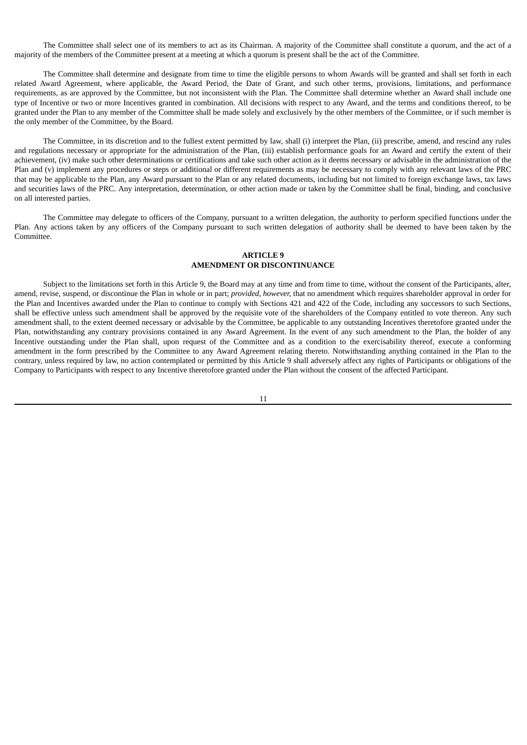The Committee shall select one of its members to act as its Chairman. A majority of the Committee shall constitute a quorum, and the act of a majority of the members of the Committee present at a meeting at which a quorum is present shall be the act of the Committee.

The Committee shall determine and designate from time to time the eligible persons to whom Awards will be granted and shall set forth in each related Award Agreement, where applicable, the Award Period, the Date of Grant, and such other terms, provisions, limitations, and performance requirements, as are approved by the Committee, but not inconsistent with the Plan. The Committee shall determine whether an Award shall include one type of Incentive or two or more Incentives granted in combination. All decisions with respect to any Award, and the terms and conditions thereof, to be granted under the Plan to any member of the Committee shall be made solely and exclusively by the other members of the Committee, or if such member is the only member of the Committee, by the Board.

The Committee, in its discretion and to the fullest extent permitted by law, shall (i) interpret the Plan, (ii) prescribe, amend, and rescind any rules and regulations necessary or appropriate for the administration of the Plan, (iii) establish performance goals for an Award and certify the extent of their achievement, (iv) make such other determinations or certifications and take such other action as it deems necessary or advisable in the administration of the Plan and (v) implement any procedures or steps or additional or different requirements as may be necessary to comply with any relevant laws of the PRC that may be applicable to the Plan, any Award pursuant to the Plan or any related documents, including but not limited to foreign exchange laws, tax laws and securities laws of the PRC. Any interpretation, determination, or other action made or taken by the Committee shall be final, binding, and conclusive on all interested parties.

The Committee may delegate to officers of the Company, pursuant to a written delegation, the authority to perform specified functions under the Plan. Any actions taken by any officers of the Company pursuant to such written delegation of authority shall be deemed to have been taken by the Committee.

#### **ARTICLE 9**

#### **AMENDMENT OR DISCONTINUANCE**

Subject to the limitations set forth in this Article 9, the Board may at any time and from time to time, without the consent of the Participants, alter, amend, revise, suspend, or discontinue the Plan in whole or in part; *provided, however,* that no amendment which requires shareholder approval in order for the Plan and Incentives awarded under the Plan to continue to comply with Sections 421 and 422 of the Code, including any successors to such Sections, shall be effective unless such amendment shall be approved by the requisite vote of the shareholders of the Company entitled to vote thereon. Any such amendment shall, to the extent deemed necessary or advisable by the Committee, be applicable to any outstanding Incentives theretofore granted under the Plan, notwithstanding any contrary provisions contained in any Award Agreement. In the event of any such amendment to the Plan, the holder of any Incentive outstanding under the Plan shall, upon request of the Committee and as a condition to the exercisability thereof, execute a conforming amendment in the form prescribed by the Committee to any Award Agreement relating thereto. Notwithstanding anything contained in the Plan to the contrary, unless required by law, no action contemplated or permitted by this Article 9 shall adversely affect any rights of Participants or obligations of the Company to Participants with respect to any Incentive theretofore granted under the Plan without the consent of the affected Participant.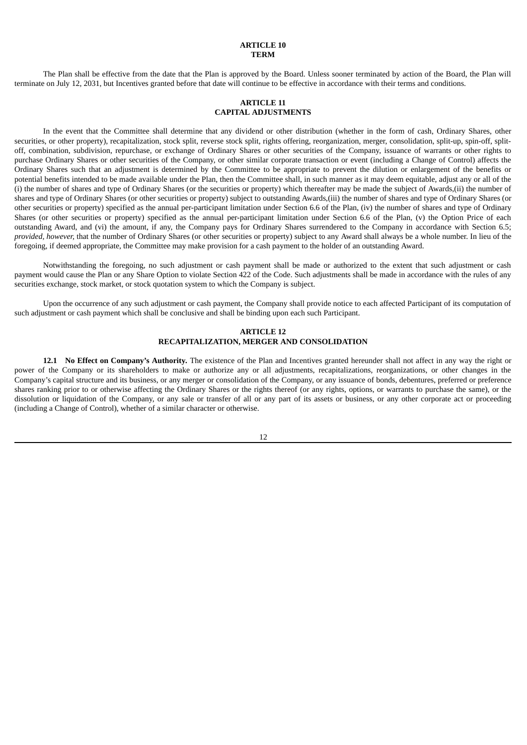## **ARTICLE 10 TERM**

The Plan shall be effective from the date that the Plan is approved by the Board. Unless sooner terminated by action of the Board, the Plan will terminate on July 12, 2031, but Incentives granted before that date will continue to be effective in accordance with their terms and conditions.

## **ARTICLE 11 CAPITAL ADJUSTMENTS**

In the event that the Committee shall determine that any dividend or other distribution (whether in the form of cash, Ordinary Shares, other securities, or other property), recapitalization, stock split, reverse stock split, rights offering, reorganization, merger, consolidation, split-up, spin-off, splitoff, combination, subdivision, repurchase, or exchange of Ordinary Shares or other securities of the Company, issuance of warrants or other rights to purchase Ordinary Shares or other securities of the Company, or other similar corporate transaction or event (including a Change of Control) affects the Ordinary Shares such that an adjustment is determined by the Committee to be appropriate to prevent the dilution or enlargement of the benefits or potential benefits intended to be made available under the Plan, then the Committee shall, in such manner as it may deem equitable, adjust any or all of the (i) the number of shares and type of Ordinary Shares (or the securities or property) which thereafter may be made the subject of Awards,(ii) the number of shares and type of Ordinary Shares (or other securities or property) subject to outstanding Awards,(iii) the number of shares and type of Ordinary Shares (or other securities or property) specified as the annual per-participant limitation under Section 6.6 of the Plan, (iv) the number of shares and type of Ordinary Shares (or other securities or property) specified as the annual per-participant limitation under Section 6.6 of the Plan, (v) the Option Price of each outstanding Award, and (vi) the amount, if any, the Company pays for Ordinary Shares surrendered to the Company in accordance with Section 6.5; *provided, however,* that the number of Ordinary Shares (or other securities or property) subject to any Award shall always be a whole number. In lieu of the foregoing, if deemed appropriate, the Committee may make provision for a cash payment to the holder of an outstanding Award.

Notwithstanding the foregoing, no such adjustment or cash payment shall be made or authorized to the extent that such adjustment or cash payment would cause the Plan or any Share Option to violate Section 422 of the Code. Such adjustments shall be made in accordance with the rules of any securities exchange, stock market, or stock quotation system to which the Company is subject.

Upon the occurrence of any such adjustment or cash payment, the Company shall provide notice to each affected Participant of its computation of such adjustment or cash payment which shall be conclusive and shall be binding upon each such Participant.

## **ARTICLE 12 RECAPITALIZATION, MERGER AND CONSOLIDATION**

**12.1 No Effect on Company's Authority***.* The existence of the Plan and Incentives granted hereunder shall not affect in any way the right or power of the Company or its shareholders to make or authorize any or all adjustments, recapitalizations, reorganizations, or other changes in the Company's capital structure and its business, or any merger or consolidation of the Company, or any issuance of bonds, debentures, preferred or preference shares ranking prior to or otherwise affecting the Ordinary Shares or the rights thereof (or any rights, options, or warrants to purchase the same), or the dissolution or liquidation of the Company, or any sale or transfer of all or any part of its assets or business, or any other corporate act or proceeding (including a Change of Control), whether of a similar character or otherwise.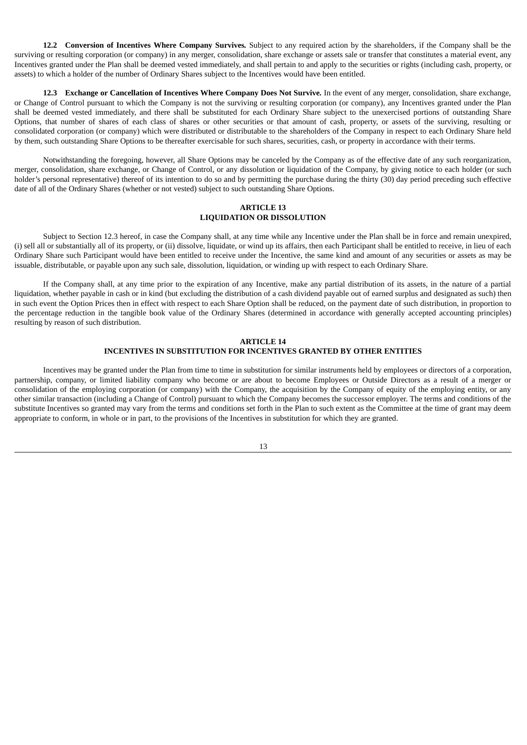**12.2 Conversion of Incentives Where Company Survives***.* Subject to any required action by the shareholders, if the Company shall be the surviving or resulting corporation (or company) in any merger, consolidation, share exchange or assets sale or transfer that constitutes a material event, any Incentives granted under the Plan shall be deemed vested immediately, and shall pertain to and apply to the securities or rights (including cash, property, or assets) to which a holder of the number of Ordinary Shares subject to the Incentives would have been entitled.

**12.3 Exchange or Cancellation of Incentives Where Company Does Not Survive***.* In the event of any merger, consolidation, share exchange, or Change of Control pursuant to which the Company is not the surviving or resulting corporation (or company), any Incentives granted under the Plan shall be deemed vested immediately, and there shall be substituted for each Ordinary Share subject to the unexercised portions of outstanding Share Options, that number of shares of each class of shares or other securities or that amount of cash, property, or assets of the surviving, resulting or consolidated corporation (or company) which were distributed or distributable to the shareholders of the Company in respect to each Ordinary Share held by them, such outstanding Share Options to be thereafter exercisable for such shares, securities, cash, or property in accordance with their terms.

Notwithstanding the foregoing, however, all Share Options may be canceled by the Company as of the effective date of any such reorganization, merger, consolidation, share exchange, or Change of Control, or any dissolution or liquidation of the Company, by giving notice to each holder (or such holder's personal representative) thereof of its intention to do so and by permitting the purchase during the thirty (30) day period preceding such effective date of all of the Ordinary Shares (whether or not vested) subject to such outstanding Share Options.

## **ARTICLE 13 LIQUIDATION OR DISSOLUTION**

Subject to Section 12.3 hereof, in case the Company shall, at any time while any Incentive under the Plan shall be in force and remain unexpired, (i) sell all or substantially all of its property, or (ii) dissolve, liquidate, or wind up its affairs, then each Participant shall be entitled to receive, in lieu of each Ordinary Share such Participant would have been entitled to receive under the Incentive, the same kind and amount of any securities or assets as may be issuable, distributable, or payable upon any such sale, dissolution, liquidation, or winding up with respect to each Ordinary Share.

If the Company shall, at any time prior to the expiration of any Incentive, make any partial distribution of its assets, in the nature of a partial liquidation, whether payable in cash or in kind (but excluding the distribution of a cash dividend payable out of earned surplus and designated as such) then in such event the Option Prices then in effect with respect to each Share Option shall be reduced, on the payment date of such distribution, in proportion to the percentage reduction in the tangible book value of the Ordinary Shares (determined in accordance with generally accepted accounting principles) resulting by reason of such distribution.

#### **ARTICLE 14 INCENTIVES IN SUBSTITUTION FOR INCENTIVES GRANTED BY OTHER ENTITIES**

Incentives may be granted under the Plan from time to time in substitution for similar instruments held by employees or directors of a corporation, partnership, company, or limited liability company who become or are about to become Employees or Outside Directors as a result of a merger or consolidation of the employing corporation (or company) with the Company, the acquisition by the Company of equity of the employing entity, or any other similar transaction (including a Change of Control) pursuant to which the Company becomes the successor employer. The terms and conditions of the substitute Incentives so granted may vary from the terms and conditions set forth in the Plan to such extent as the Committee at the time of grant may deem appropriate to conform, in whole or in part, to the provisions of the Incentives in substitution for which they are granted.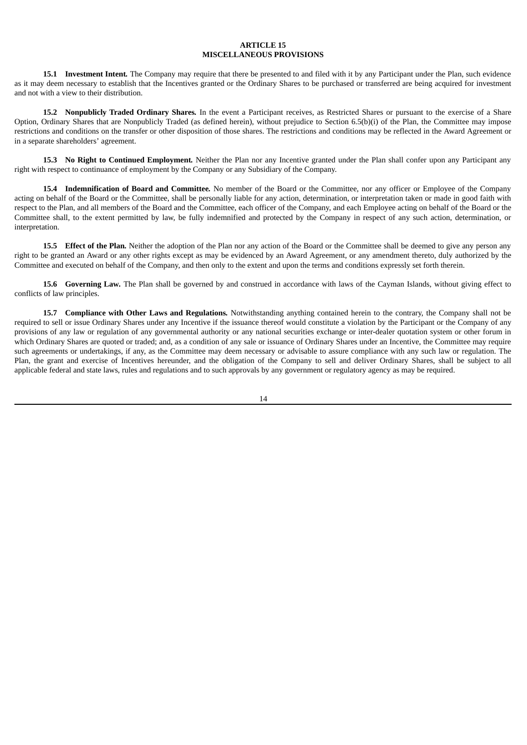## **ARTICLE 15 MISCELLANEOUS PROVISIONS**

**15.1 Investment Intent***.* The Company may require that there be presented to and filed with it by any Participant under the Plan, such evidence as it may deem necessary to establish that the Incentives granted or the Ordinary Shares to be purchased or transferred are being acquired for investment and not with a view to their distribution.

**15.2 Nonpublicly Traded Ordinary Shares***.* In the event a Participant receives, as Restricted Shares or pursuant to the exercise of a Share Option, Ordinary Shares that are Nonpublicly Traded (as defined herein), without prejudice to Section 6.5(b)(i) of the Plan, the Committee may impose restrictions and conditions on the transfer or other disposition of those shares. The restrictions and conditions may be reflected in the Award Agreement or in a separate shareholders' agreement.

**15.3 No Right to Continued Employment***.* Neither the Plan nor any Incentive granted under the Plan shall confer upon any Participant any right with respect to continuance of employment by the Company or any Subsidiary of the Company.

**15.4 Indemnification of Board and Committee***.* No member of the Board or the Committee, nor any officer or Employee of the Company acting on behalf of the Board or the Committee, shall be personally liable for any action, determination, or interpretation taken or made in good faith with respect to the Plan, and all members of the Board and the Committee, each officer of the Company, and each Employee acting on behalf of the Board or the Committee shall, to the extent permitted by law, be fully indemnified and protected by the Company in respect of any such action, determination, or interpretation.

**15.5 Effect of the Plan***.* Neither the adoption of the Plan nor any action of the Board or the Committee shall be deemed to give any person any right to be granted an Award or any other rights except as may be evidenced by an Award Agreement, or any amendment thereto, duly authorized by the Committee and executed on behalf of the Company, and then only to the extent and upon the terms and conditions expressly set forth therein.

**15.6 Governing Law***.* The Plan shall be governed by and construed in accordance with laws of the Cayman Islands, without giving effect to conflicts of law principles.

**15.7 Compliance with Other Laws and Regulations***.* Notwithstanding anything contained herein to the contrary, the Company shall not be required to sell or issue Ordinary Shares under any Incentive if the issuance thereof would constitute a violation by the Participant or the Company of any provisions of any law or regulation of any governmental authority or any national securities exchange or inter-dealer quotation system or other forum in which Ordinary Shares are quoted or traded; and, as a condition of any sale or issuance of Ordinary Shares under an Incentive, the Committee may require such agreements or undertakings, if any, as the Committee may deem necessary or advisable to assure compliance with any such law or regulation. The Plan, the grant and exercise of Incentives hereunder, and the obligation of the Company to sell and deliver Ordinary Shares, shall be subject to all applicable federal and state laws, rules and regulations and to such approvals by any government or regulatory agency as may be required.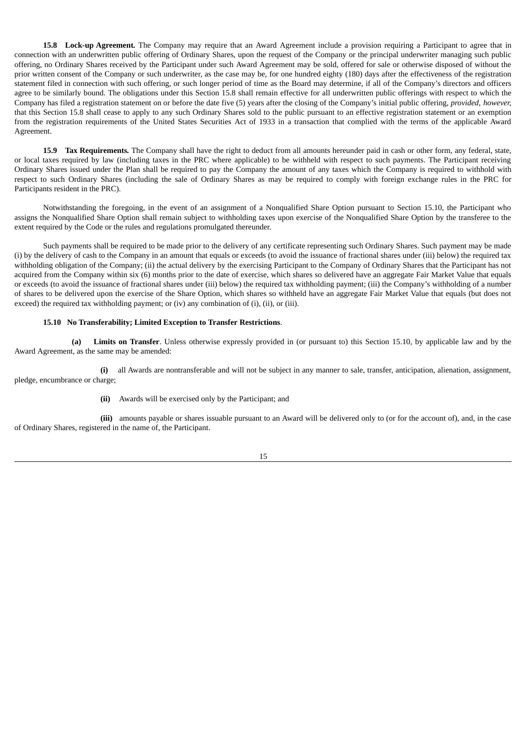**15.8 Lock-up Agreement***.* The Company may require that an Award Agreement include a provision requiring a Participant to agree that in connection with an underwritten public offering of Ordinary Shares, upon the request of the Company or the principal underwriter managing such public offering, no Ordinary Shares received by the Participant under such Award Agreement may be sold, offered for sale or otherwise disposed of without the prior written consent of the Company or such underwriter, as the case may be, for one hundred eighty (180) days after the effectiveness of the registration statement filed in connection with such offering, or such longer period of time as the Board may determine, if all of the Company's directors and officers agree to be similarly bound. The obligations under this Section 15.8 shall remain effective for all underwritten public offerings with respect to which the Company has filed a registration statement on or before the date five (5) years after the closing of the Company's initial public offering, *provided, however,* that this Section 15.8 shall cease to apply to any such Ordinary Shares sold to the public pursuant to an effective registration statement or an exemption from the registration requirements of the United States Securities Act of 1933 in a transaction that complied with the terms of the applicable Award Agreement.

**15.9 Tax Requirements***.* The Company shall have the right to deduct from all amounts hereunder paid in cash or other form, any federal, state, or local taxes required by law (including taxes in the PRC where applicable) to be withheld with respect to such payments. The Participant receiving Ordinary Shares issued under the Plan shall be required to pay the Company the amount of any taxes which the Company is required to withhold with respect to such Ordinary Shares (including the sale of Ordinary Shares as may be required to comply with foreign exchange rules in the PRC for Participants resident in the PRC).

Notwithstanding the foregoing, in the event of an assignment of a Nonqualified Share Option pursuant to Section 15.10, the Participant who assigns the Nonqualified Share Option shall remain subject to withholding taxes upon exercise of the Nonqualified Share Option by the transferee to the extent required by the Code or the rules and regulations promulgated thereunder.

Such payments shall be required to be made prior to the delivery of any certificate representing such Ordinary Shares. Such payment may be made (i) by the delivery of cash to the Company in an amount that equals or exceeds (to avoid the issuance of fractional shares under (iii) below) the required tax withholding obligation of the Company; (ii) the actual delivery by the exercising Participant to the Company of Ordinary Shares that the Participant has not acquired from the Company within six (6) months prior to the date of exercise, which shares so delivered have an aggregate Fair Market Value that equals or exceeds (to avoid the issuance of fractional shares under (iii) below) the required tax withholding payment; (iii) the Company's withholding of a number of shares to be delivered upon the exercise of the Share Option, which shares so withheld have an aggregate Fair Market Value that equals (but does not exceed) the required tax withholding payment; or (iv) any combination of (i), (ii), or (iii).

#### **15.10 No Transferability; Limited Exception to Transfer Restrictions**.

**(a) Limits on Transfer**. Unless otherwise expressly provided in (or pursuant to) this Section 15.10, by applicable law and by the Award Agreement, as the same may be amended:

**(i)** all Awards are nontransferable and will not be subject in any manner to sale, transfer, anticipation, alienation, assignment, pledge, encumbrance or charge;

**(ii)** Awards will be exercised only by the Participant; and

**(iii)** amounts payable or shares issuable pursuant to an Award will be delivered only to (or for the account of), and, in the case of Ordinary Shares, registered in the name of, the Participant.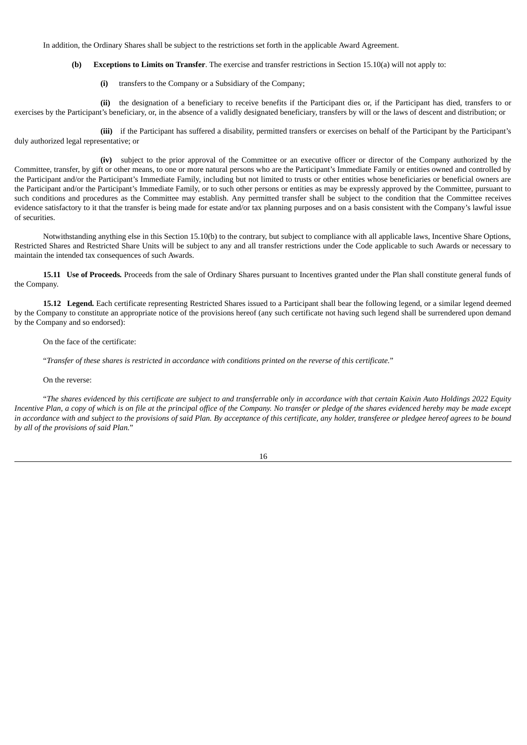In addition, the Ordinary Shares shall be subject to the restrictions set forth in the applicable Award Agreement.

**(b) Exceptions to Limits on Transfer**. The exercise and transfer restrictions in Section 15.10(a) will not apply to:

**(i)** transfers to the Company or a Subsidiary of the Company;

**(ii)** the designation of a beneficiary to receive benefits if the Participant dies or, if the Participant has died, transfers to or exercises by the Participant's beneficiary, or, in the absence of a validly designated beneficiary, transfers by will or the laws of descent and distribution; or

(iii) if the Participant has suffered a disability, permitted transfers or exercises on behalf of the Participant by the Participant's duly authorized legal representative; or

**(iv)** subject to the prior approval of the Committee or an executive officer or director of the Company authorized by the Committee, transfer, by gift or other means, to one or more natural persons who are the Participant's Immediate Family or entities owned and controlled by the Participant and/or the Participant's Immediate Family, including but not limited to trusts or other entities whose beneficiaries or beneficial owners are the Participant and/or the Participant's Immediate Family, or to such other persons or entities as may be expressly approved by the Committee, pursuant to such conditions and procedures as the Committee may establish. Any permitted transfer shall be subject to the condition that the Committee receives evidence satisfactory to it that the transfer is being made for estate and/or tax planning purposes and on a basis consistent with the Company's lawful issue of securities.

Notwithstanding anything else in this Section 15.10(b) to the contrary, but subject to compliance with all applicable laws, Incentive Share Options, Restricted Shares and Restricted Share Units will be subject to any and all transfer restrictions under the Code applicable to such Awards or necessary to maintain the intended tax consequences of such Awards.

**15.11 Use of Proceeds***.* Proceeds from the sale of Ordinary Shares pursuant to Incentives granted under the Plan shall constitute general funds of the Company.

**15.12 Legend***.* Each certificate representing Restricted Shares issued to a Participant shall bear the following legend, or a similar legend deemed by the Company to constitute an appropriate notice of the provisions hereof (any such certificate not having such legend shall be surrendered upon demand by the Company and so endorsed):

On the face of the certificate:

"Transfer of these shares is restricted in accordance with conditions printed on the reverse of this certificate."

On the reverse:

"The shares evidenced by this certificate are subject to and transferrable only in accordance with that certain Kaixin Auto Holdings 2022 Equity Incentive Plan, a copy of which is on file at the principal office of the Company. No transfer or pledge of the shares evidenced hereby may be made except in accordance with and subject to the provisions of said Plan. By acceptance of this certificate, any holder, transferee or pledgee hereof agrees to be bound *by all of the provisions of said Plan.*"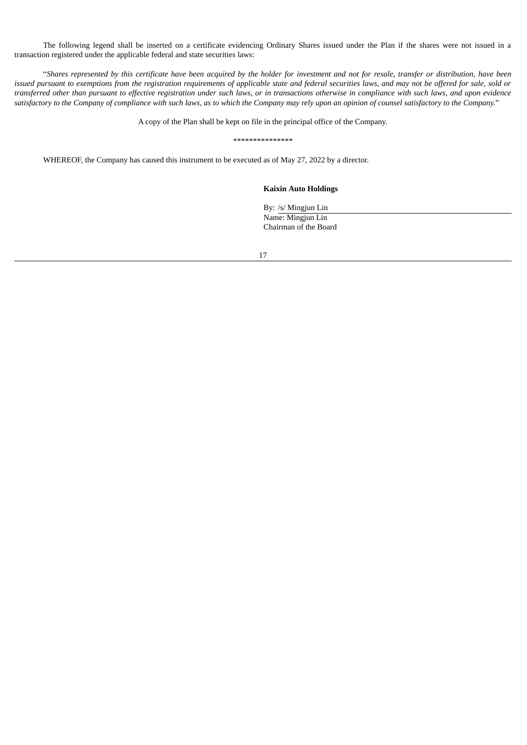The following legend shall be inserted on a certificate evidencing Ordinary Shares issued under the Plan if the shares were not issued in a transaction registered under the applicable federal and state securities laws:

"Shares represented by this certificate have been acquired by the holder for investment and not for resale, transfer or distribution, have been issued pursuant to exemptions from the registration requirements of applicable state and federal securities laws, and may not be offered for sale, sold or transferred other than pursuant to effective registration under such laws, or in transactions otherwise in compliance with such laws, and upon evidence satisfactory to the Company of compliance with such laws, as to which the Company may rely upon an opinion of counsel satisfactory to the Company."

A copy of the Plan shall be kept on file in the principal office of the Company.

\*\*\*\*\*\*\*\*\*\*\*\*\*\*\*

WHEREOF, the Company has caused this instrument to be executed as of May 27, 2022 by a director.

#### **Kaixin Auto Holdings**

By: /s/ Mingjun Lin Name: Mingjun Lin Chairman of the Board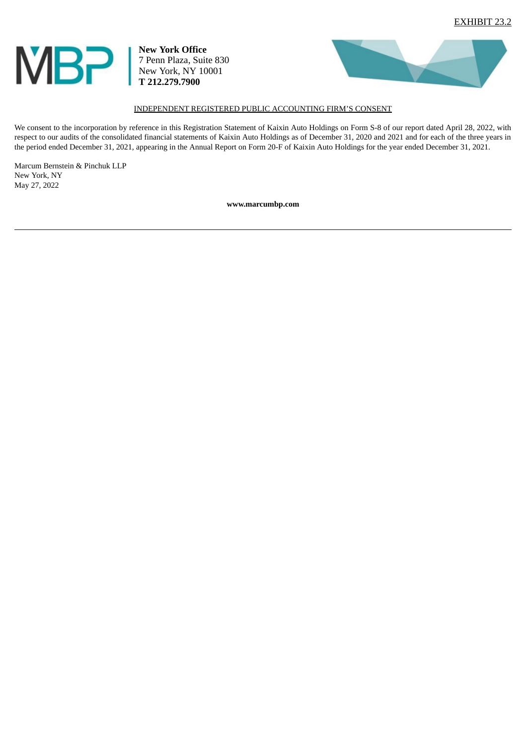<span id="page-27-0"></span>

**New York Office** 7 Penn Plaza, Suite 830 New York, NY 10001 **T 212.279.7900**



## INDEPENDENT REGISTERED PUBLIC ACCOUNTING FIRM'S CONSENT

We consent to the incorporation by reference in this Registration Statement of Kaixin Auto Holdings on Form S-8 of our report dated April 28, 2022, with respect to our audits of the consolidated financial statements of Kaixin Auto Holdings as of December 31, 2020 and 2021 and for each of the three years in the period ended December 31, 2021, appearing in the Annual Report on Form 20-F of Kaixin Auto Holdings for the year ended December 31, 2021.

Marcum Bernstein & Pinchuk LLP New York, NY May 27, 2022

**www.marcumbp.com**